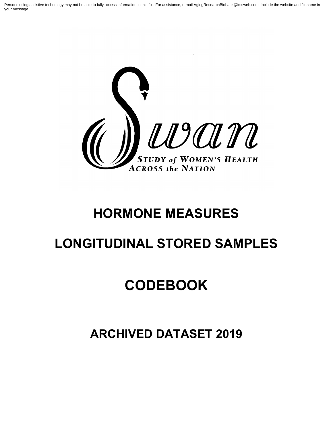Persons using assistive technology may not be able to fully access information in this file. For assistance, e-mail AgingResearchBiobank@imsweb.com. Include the website and filename in your message.



## **HORMONE MEASURES**

## **LONGITUDINAL STORED SAMPLES**

# **CODEBOOK**

**ARCHIVED DATASET 2019**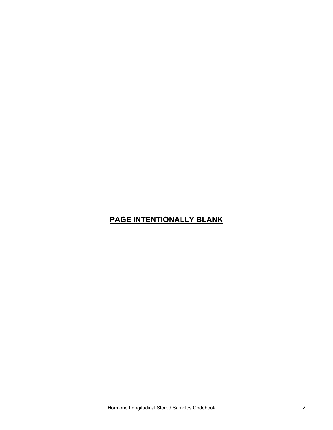### **PAGE INTENTIONALLY BLANK**